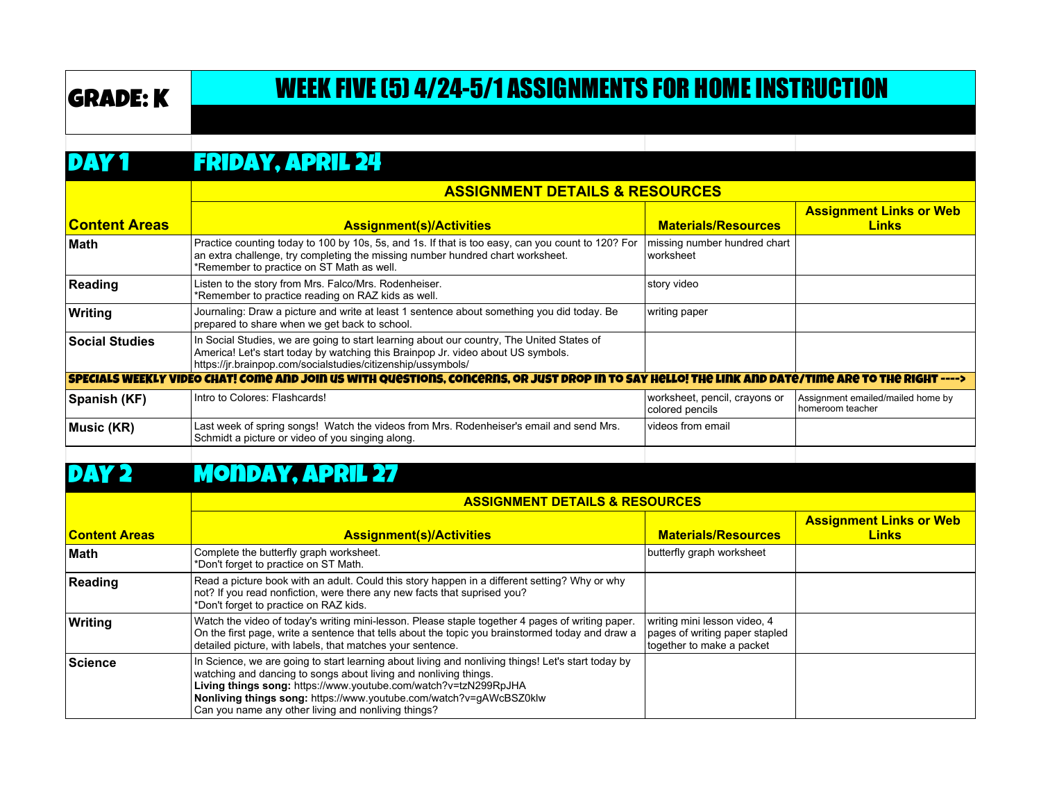# GRADE: K WEEK FIVE (5) 4/24-5/1 ASSIGNMENTS FOR HOME INSTRUCTION

#### DAY 1 Friday, April 24

|                                                                                                                                                              | <b>ASSIGNMENT DETAILS &amp; RESOURCES</b>                                                                                                                                                                                                     |                                                  |                                                         |  |
|--------------------------------------------------------------------------------------------------------------------------------------------------------------|-----------------------------------------------------------------------------------------------------------------------------------------------------------------------------------------------------------------------------------------------|--------------------------------------------------|---------------------------------------------------------|--|
| <b>Content Areas</b>                                                                                                                                         | <b>Assignment(s)/Activities</b>                                                                                                                                                                                                               | <b>Materials/Resources</b>                       | <b>Assignment Links or Web</b><br><b>Links</b>          |  |
| ∣Math                                                                                                                                                        | Practice counting today to 100 by 10s, 5s, and 1s. If that is too easy, can you count to 120? For<br>an extra challenge, try completing the missing number hundred chart worksheet.<br>*Remember to practice on ST Math as well.              | missing number hundred chart<br>worksheet        |                                                         |  |
| Reading                                                                                                                                                      | Listen to the story from Mrs. Falco/Mrs. Rodenheiser.<br>*Remember to practice reading on RAZ kids as well.                                                                                                                                   | story video                                      |                                                         |  |
| Writing                                                                                                                                                      | Journaling: Draw a picture and write at least 1 sentence about something you did today. Be<br>prepared to share when we get back to school.                                                                                                   | writing paper                                    |                                                         |  |
| <b>Social Studies</b>                                                                                                                                        | In Social Studies, we are going to start learning about our country, The United States of<br>America! Let's start today by watching this Brainpop Jr. video about US symbols.<br>https://jr.brainpop.com/socialstudies/citizenship/ussymbols/ |                                                  |                                                         |  |
| <u>SPECIALS WEEKLY VIDEO CHAT! COMO AND JOIN US WITH QUOSTIONS, CONCORNS, OR JUST DROP IN TO SAY HOLLO! THO LINK AND DATO/TIMO ARO TO THO RIGHT ----&gt;</u> |                                                                                                                                                                                                                                               |                                                  |                                                         |  |
| Spanish (KF)                                                                                                                                                 | Intro to Colores: Flashcards!                                                                                                                                                                                                                 | worksheet, pencil, crayons or<br>colored pencils | Assignment emailed/mailed home by<br>I homeroom teacher |  |
| Music (KR)                                                                                                                                                   | Last week of spring songs! Watch the videos from Mrs. Rodenheiser's email and send Mrs.<br>Schmidt a picture or video of you singing along.                                                                                                   | videos from email                                |                                                         |  |
|                                                                                                                                                              |                                                                                                                                                                                                                                               |                                                  |                                                         |  |

#### DAY 2 MONDAY, APRIL 27

|                      | <b>ASSIGNMENT DETAILS &amp; RESOURCES</b>                                                                                                                                                                                                                                                                                                                              |                                                                                             |                                                |
|----------------------|------------------------------------------------------------------------------------------------------------------------------------------------------------------------------------------------------------------------------------------------------------------------------------------------------------------------------------------------------------------------|---------------------------------------------------------------------------------------------|------------------------------------------------|
| <b>Content Areas</b> | <b>Assignment(s)/Activities</b>                                                                                                                                                                                                                                                                                                                                        | <b>Materials/Resources</b>                                                                  | <b>Assignment Links or Web</b><br><b>Links</b> |
| <b>Math</b>          | Complete the butterfly graph worksheet.<br>*Don't forget to practice on ST Math.                                                                                                                                                                                                                                                                                       | butterfly graph worksheet                                                                   |                                                |
| Reading              | Read a picture book with an adult. Could this story happen in a different setting? Why or why<br>not? If you read nonfiction, were there any new facts that suprised you?<br>*Don't forget to practice on RAZ kids.                                                                                                                                                    |                                                                                             |                                                |
| Writing              | Watch the video of today's writing mini-lesson. Please staple together 4 pages of writing paper.<br>On the first page, write a sentence that tells about the topic you brainstormed today and draw a<br>detailed picture, with labels, that matches your sentence.                                                                                                     | writing mini lesson video, 4<br>pages of writing paper stapled<br>together to make a packet |                                                |
| Science              | In Science, we are going to start learning about living and nonliving things! Let's start today by<br>watching and dancing to songs about living and nonliving things.<br>Living things song: https://www.youtube.com/watch?v=tzN299RpJHA<br>Nonliving things song: https://www.youtube.com/watch?v=gAWcBSZ0klw<br>Can you name any other living and nonliving things? |                                                                                             |                                                |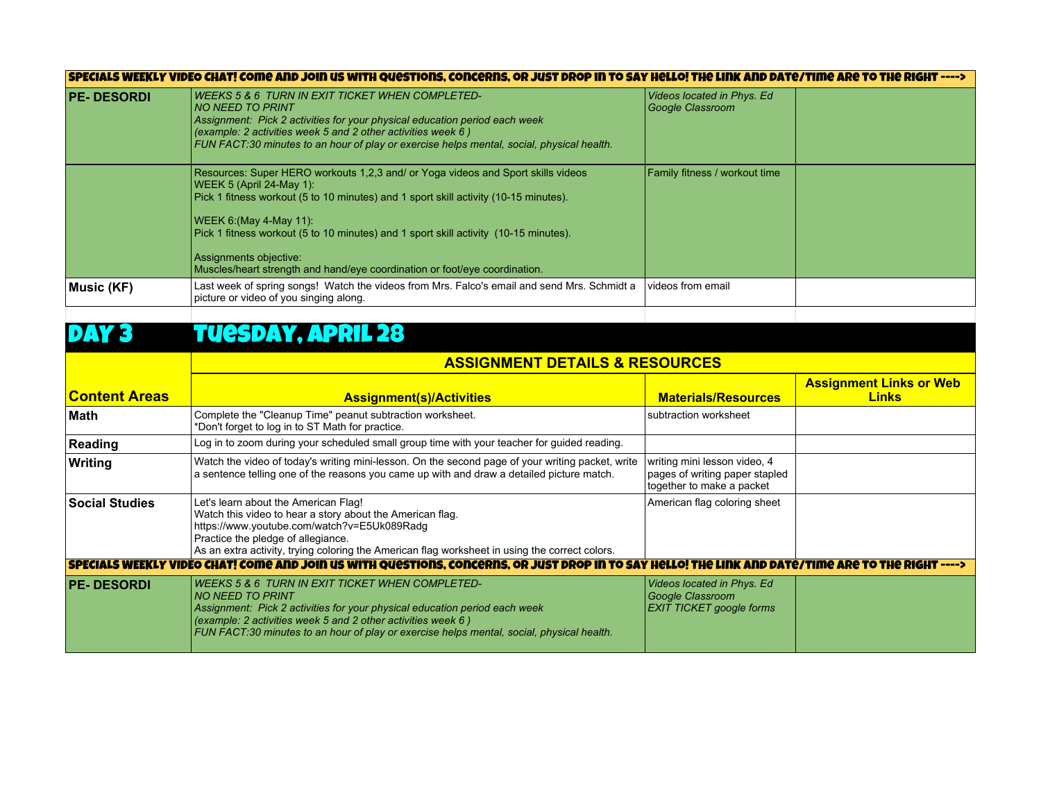| SPECIALS WEEKLY VIDEO CHAT! COME AND JOIN US WITH QUESTIONS, CONCERNS, OR JUST DROP IN TO SAY HELLO! THE LINK AND DATE/TIME ARE TO THE RIGHT ----> |  |
|----------------------------------------------------------------------------------------------------------------------------------------------------|--|
|----------------------------------------------------------------------------------------------------------------------------------------------------|--|

| Resources: Super HERO workouts 1,2,3 and/ or Yoga videos and Sport skills videos<br><b>Family fitness / workout time</b><br>WEEK 5 (April 24-May 1):<br>Pick 1 fitness workout (5 to 10 minutes) and 1 sport skill activity (10-15 minutes). | <b>PE-DESORDI</b> | WEEKS 5 & 6 TURN IN EXIT TICKET WHEN COMPLETED-<br><b>NO NEED TO PRINT</b><br>Assignment: Pick 2 activities for your physical education period each week<br>(example: 2 activities week 5 and 2 other activities week 6)<br>FUN FACT:30 minutes to an hour of play or exercise helps mental, social, physical health. | Videos located in Phys. Ed<br>Google Classroom |  |
|----------------------------------------------------------------------------------------------------------------------------------------------------------------------------------------------------------------------------------------------|-------------------|-----------------------------------------------------------------------------------------------------------------------------------------------------------------------------------------------------------------------------------------------------------------------------------------------------------------------|------------------------------------------------|--|
| Pick 1 fitness workout (5 to 10 minutes) and 1 sport skill activity (10-15 minutes).<br>Assignments objective:<br>Muscles/heart strength and hand/eye coordination or foot/eye coordination.                                                 |                   | WEEK 6: (May 4-May 11):                                                                                                                                                                                                                                                                                               |                                                |  |
| Last week of spring songs! Watch the videos from Mrs. Falco's email and send Mrs. Schmidt a<br>videos from email<br>Music (KF)<br>picture or video of you singing along.                                                                     |                   |                                                                                                                                                                                                                                                                                                                       |                                                |  |

## DAY 3 TUESDAY, APRIL 28

|                       | ASSIGNMENT DETAILS & RESOURCES                                                                                                                                                                                                                                                                                   |                                                                                             |                                                |
|-----------------------|------------------------------------------------------------------------------------------------------------------------------------------------------------------------------------------------------------------------------------------------------------------------------------------------------------------|---------------------------------------------------------------------------------------------|------------------------------------------------|
| <b>Content Areas</b>  | <b>Assignment(s)/Activities</b>                                                                                                                                                                                                                                                                                  | <b>Materials/Resources</b>                                                                  | <b>Assignment Links or Web</b><br><b>Links</b> |
| ∣Math                 | Complete the "Cleanup Time" peanut subtraction worksheet.<br>*Don't forget to log in to ST Math for practice.                                                                                                                                                                                                    | subtraction worksheet                                                                       |                                                |
| Reading               | Log in to zoom during your scheduled small group time with your teacher for guided reading.                                                                                                                                                                                                                      |                                                                                             |                                                |
| Writing               | Watch the video of today's writing mini-lesson. On the second page of your writing packet, write<br>a sentence telling one of the reasons you came up with and draw a detailed picture match.                                                                                                                    | writing mini lesson video, 4<br>pages of writing paper stapled<br>together to make a packet |                                                |
| <b>Social Studies</b> | Let's learn about the American Flag!<br>Watch this video to hear a story about the American flag.<br>https://www.youtube.com/watch?v=E5Uk089Radg<br>Practice the pledge of allegiance.<br>As an extra activity, trying coloring the American flag worksheet in using the correct colors.                         | American flag coloring sheet                                                                |                                                |
|                       | SPECIALS WEEKLY VIDEO CHAT! COME AND JOIN US WITH QUESTIONS, CONCERNS, OR JUST DROP IN TO SAY HELLO! THE LINK AND DATE/TIME ARE TO THE RIGHT ---->                                                                                                                                                               |                                                                                             |                                                |
| <b>PE-DESORDI</b>     | WEEKS 5 & 6  TURN IN EXIT TICKET WHEN COMPLETED-<br>INO NEED TO PRINT<br>Assignment: Pick 2 activities for your physical education period each week<br>(example: 2 activities week 5 and 2 other activities week 6)<br>FUN FACT:30 minutes to an hour of play or exercise helps mental, social, physical health. | Videos located in Phys. Ed<br>Google Classroom<br><b>EXIT TICKET google forms</b>           |                                                |

**ASSIGNMENT DETAILS & RESOURCES**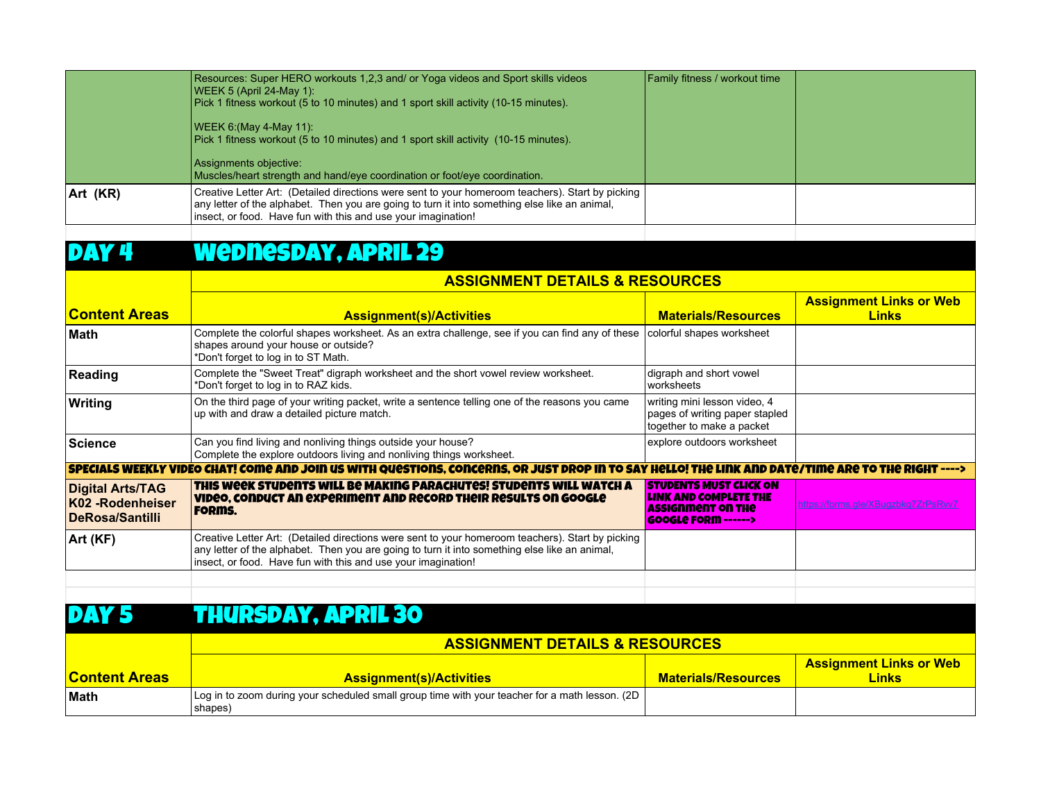|          | Resources: Super HERO workouts 1,2,3 and/ or Yoga videos and Sport skills videos<br> WEEK 5 (April 24-May 1):<br>Pick 1 fitness workout (5 to 10 minutes) and 1 sport skill activity (10-15 minutes).                                                              | <b>Family fitness / workout time</b> |  |
|----------|--------------------------------------------------------------------------------------------------------------------------------------------------------------------------------------------------------------------------------------------------------------------|--------------------------------------|--|
|          | WEEK 6: (May 4-May 11):<br>Pick 1 fitness workout (5 to 10 minutes) and 1 sport skill activity (10-15 minutes).<br>Assignments objective:<br>Muscles/heart strength and hand/eye coordination or foot/eye coordination.                                            |                                      |  |
| Art (KR) | Creative Letter Art: (Detailed directions were sent to your homeroom teachers). Start by picking<br>any letter of the alphabet. Then you are going to turn it into something else like an animal,<br>insect, or food. Have fun with this and use your imagination! |                                      |  |
|          |                                                                                                                                                                                                                                                                    |                                      |  |

## DAY 4 Wednesday, April 29

|                                                                       | <b>ASSIGNMENT DETAILS &amp; RESOURCES</b>                                                                                                                                                                                                                          |                                                                                                                            |                                                |
|-----------------------------------------------------------------------|--------------------------------------------------------------------------------------------------------------------------------------------------------------------------------------------------------------------------------------------------------------------|----------------------------------------------------------------------------------------------------------------------------|------------------------------------------------|
| <b>Content Areas</b>                                                  | <b>Assignment(s)/Activities</b>                                                                                                                                                                                                                                    | <b>Materials/Resources</b>                                                                                                 | <b>Assignment Links or Web</b><br><b>Links</b> |
| ∣Math                                                                 | Complete the colorful shapes worksheet. As an extra challenge, see if you can find any of these<br>shapes around your house or outside?<br>*Don't forget to log in to ST Math.                                                                                     | colorful shapes worksheet                                                                                                  |                                                |
| Reading                                                               | Complete the "Sweet Treat" digraph worksheet and the short vowel review worksheet.<br>*Don't forget to log in to RAZ kids.                                                                                                                                         | digraph and short vowel<br>worksheets                                                                                      |                                                |
| Writing                                                               | On the third page of your writing packet, write a sentence telling one of the reasons you came<br>up with and draw a detailed picture match.                                                                                                                       | writing mini lesson video, 4<br>pages of writing paper stapled<br>together to make a packet                                |                                                |
| <b>Science</b>                                                        | Can you find living and nonliving things outside your house?<br>Complete the explore outdoors living and nonliving things worksheet.                                                                                                                               | explore outdoors worksheet                                                                                                 |                                                |
|                                                                       | SPECIALS WEEKLY VIDEO CHAT! COME AND JOIN US WITH QUESTIONS, CONCERNS, OR JUST DROP IN TO SAY HELLO! THE LINK AND DATE/TIME ARE TO THE RIGHT                                                                                                                       |                                                                                                                            |                                                |
| Digital Arts/TAG<br><b>K02 -Rodenheiser</b><br><b>DeRosa/Santilli</b> | THIS WEEK STUDENTS WILL BE MAKING PARACHUTES! STUDENTS WILL WATCH A<br>VIDEO, CONDUCT AN EXPERIMENT AND RECORD THEIR RESULTS ON GOOGLE<br><b>FORMS.</b>                                                                                                            | <b>STUDENTS MUST CLICK ON</b><br><b>LINK AND COMPLETE THE</b><br><b>ASSIGNMENT ON THE</b><br><b>GOOGLe FORM ------&gt;</b> | https://forms.gle/XBugzbkq7ZrPsRw7             |
| Art (KF)                                                              | Creative Letter Art: (Detailed directions were sent to your homeroom teachers). Start by picking<br>any letter of the alphabet. Then you are going to turn it into something else like an animal,<br>insect, or food. Have fun with this and use your imagination! |                                                                                                                            |                                                |
|                                                                       |                                                                                                                                                                                                                                                                    |                                                                                                                            |                                                |

### DAY 5 THURSDAY, APRIL 30

|                      | <b>ASSIGNMENT DETAILS &amp; RESOURCES</b>                                                                  |                            |                                         |
|----------------------|------------------------------------------------------------------------------------------------------------|----------------------------|-----------------------------------------|
| <b>Content Areas</b> | <b>Assignment(s)/Activities</b>                                                                            | <b>Materials/Resources</b> | <b>Assignment Links or Web</b><br>Links |
| <b>Math</b>          | Log in to zoom during your scheduled small group time with your teacher for a math lesson. (2D  <br>shapes |                            |                                         |